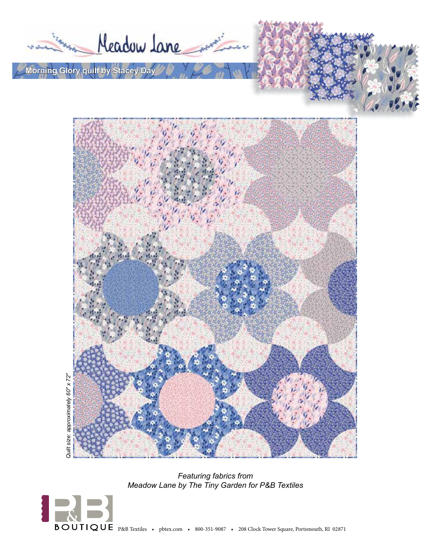Meadow Lane

**Morning Glory quilt by Stacey Day**



*Featuring fabrics from Meadow Lane by The Tiny Garden for P&B Textiles*

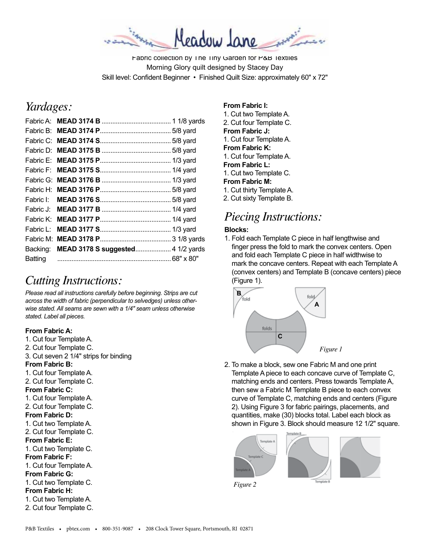Meadow Jane

Fabric collection by The Tiny Garden for P&B Textiles Morning Glory quilt designed by Stacey Day Skill level: Confident Beginner • Finished Quilt Size: approximately 60" x 72"

# *Yardages:*

| Fabric L: |                                            |  |
|-----------|--------------------------------------------|--|
|           |                                            |  |
|           | Backing: MEAD 3178 S suggested 4 1/2 yards |  |
|           |                                            |  |
|           |                                            |  |

# *Cutting Instructions:*

*Please read all instructions carefully before beginning. Strips are cut across the width of fabric (perpendicular to selvedges) unless otherwise stated. All seams are sewn with a 1/4" seam unless otherwise stated. Label all pieces.* 

#### **From Fabric A:**

1. Cut four Template A. 2. Cut four Template C. 3. Cut seven 2 1/4" strips for binding **From Fabric B:** 1. Cut four Template A. 2. Cut four Template C. **From Fabric C:** 1. Cut four Template A. 2. Cut four Template C. **From Fabric D:** 1. Cut two Template A. 2. Cut four Template C. **From Fabric E:** 1. Cut two Template C. **From Fabric F:** 1. Cut four Template A. **From Fabric G:** 1. Cut two Template C. **From Fabric H:** 1. Cut two Template A. 2. Cut four Template C.

### **From Fabric I:**

1. Cut two Template A. 2. Cut four Template C. **From Fabric J:** 1. Cut four Template A. **From Fabric K:** 1. Cut four Template A. **From Fabric L:** 1. Cut two Template C. **From Fabric M:** 1. Cut thirty Template A. 2. Cut sixty Template B.

# *Piecing Instructions:*

### **Blocks:**

1. Fold each Template C piece in half lengthwise and finger press the fold to mark the convex centers. Open and fold each Template C piece in half widthwise to mark the concave centers. Repeat with each Template A (convex centers) and Template B (concave centers) piece (Figure 1).



2. To make a block, sew one Fabric M and one print Template A piece to each concave curve of Template C, matching ends and centers. Press towards Template A, then sew a Fabric M Template B piece to each convex curve of Template C, matching ends and centers (Figure 2). Using Figure 3 for fabric pairings, placements, and quantities, make (30) blocks total. Label each block as shown in Figure 3. Block should measure 12 1/2" square.



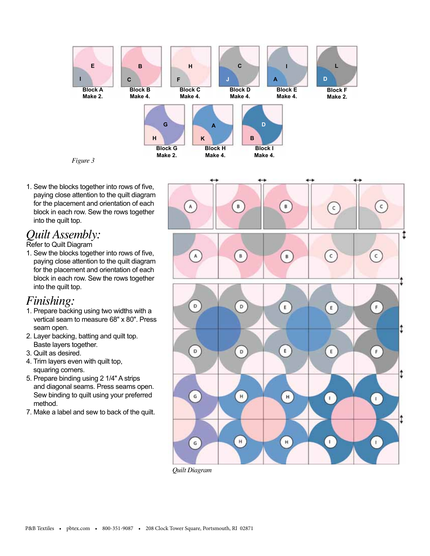

1. Sew the blocks together into rows of five, paying close attention to the quilt diagram for the placement and orientation of each block in each row. Sew the rows together into the quilt top.

### *Quilt Assembly:*

#### Refer to Quilt Diagram

1. Sew the blocks together into rows of five, paying close attention to the quilt diagram for the placement and orientation of each block in each row. Sew the rows together into the quilt top.

## *Finishing:*

- 1. Prepare backing using two widths with a vertical seam to measure 68" x 80". Press seam open.
- 2. Layer backing, batting and quilt top. Baste layers together.
- 3. Quilt as desired.
- 4. Trim layers even with quilt top, squaring corners.
- 5. Prepare binding using 2 1/4" A strips and diagonal seams. Press seams open. Sew binding to quilt using your preferred method.
- 7. Make a label and sew to back of the quilt.



*Quilt Diagram*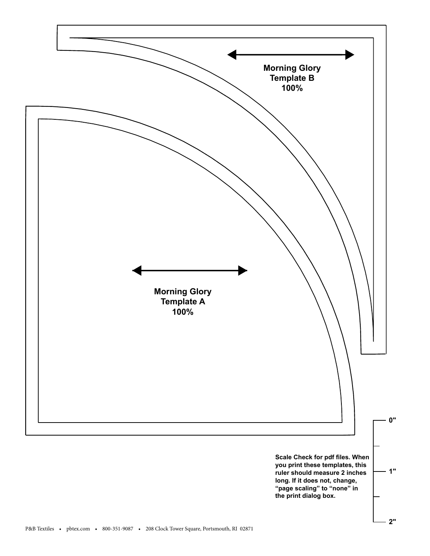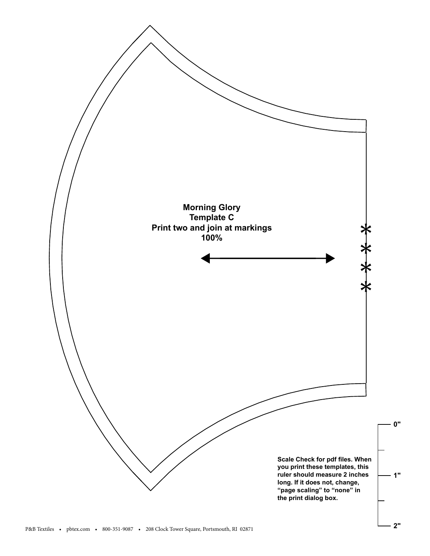